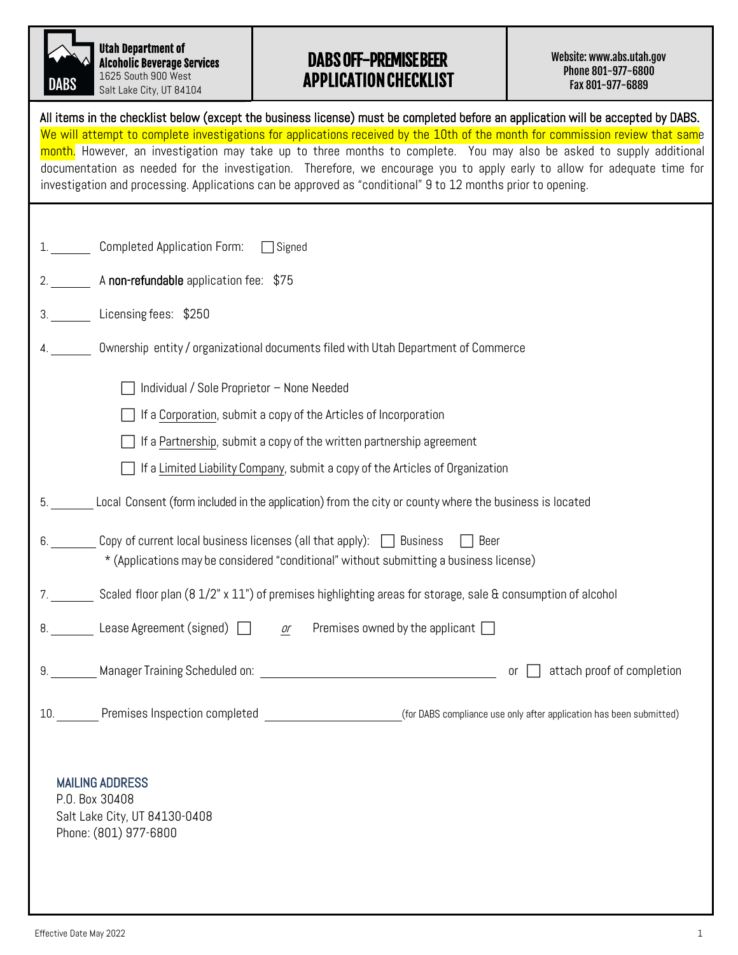| DABS |
|------|

Utah Department of Alcoholic Beverage Services 1625 South 900 West

Salt Lake City, UT 84104

## DABS OFF-PREMISE BEER APPLICATION CHECKLIST

Website: www.abs[.utah.gov](http://www.abc.utah.gov/)  Phone 801-977-6800 Fax 801-977-6889

| All items in the checklist below (except the business license) must be completed before an application will be accepted by DABS.<br>We will attempt to complete investigations for applications received by the 10th of the month for commission review that same<br>month. However, an investigation may take up to three months to complete. You may also be asked to supply additional<br>documentation as needed for the investigation. Therefore, we encourage you to apply early to allow for adequate time for<br>investigation and processing. Applications can be approved as "conditional" 9 to 12 months prior to opening. |
|---------------------------------------------------------------------------------------------------------------------------------------------------------------------------------------------------------------------------------------------------------------------------------------------------------------------------------------------------------------------------------------------------------------------------------------------------------------------------------------------------------------------------------------------------------------------------------------------------------------------------------------|
|                                                                                                                                                                                                                                                                                                                                                                                                                                                                                                                                                                                                                                       |
| 1. Completed Application Form:<br>$\Box$ Signed                                                                                                                                                                                                                                                                                                                                                                                                                                                                                                                                                                                       |
| 2. A non-refundable application fee: \$75                                                                                                                                                                                                                                                                                                                                                                                                                                                                                                                                                                                             |
| Licensing fees: \$250<br>3.                                                                                                                                                                                                                                                                                                                                                                                                                                                                                                                                                                                                           |
| Ownership entity / organizational documents filed with Utah Department of Commerce                                                                                                                                                                                                                                                                                                                                                                                                                                                                                                                                                    |
| Individual / Sole Proprietor - None Needed                                                                                                                                                                                                                                                                                                                                                                                                                                                                                                                                                                                            |
| If a Corporation, submit a copy of the Articles of Incorporation                                                                                                                                                                                                                                                                                                                                                                                                                                                                                                                                                                      |
| If a Partnership, submit a copy of the written partnership agreement                                                                                                                                                                                                                                                                                                                                                                                                                                                                                                                                                                  |
| If a Limited Liability Company, submit a copy of the Articles of Organization                                                                                                                                                                                                                                                                                                                                                                                                                                                                                                                                                         |
| Local Consent (form included in the application) from the city or county where the business is located                                                                                                                                                                                                                                                                                                                                                                                                                                                                                                                                |
| Copy of current local business licenses (all that apply): $\Box$ Business<br>6.<br>□ Beer<br>* (Applications may be considered "conditional" without submitting a business license)                                                                                                                                                                                                                                                                                                                                                                                                                                                   |
| 7. Scaled floor plan (8 1/2" x 11") of premises highlighting areas for storage, sale & consumption of alcohol                                                                                                                                                                                                                                                                                                                                                                                                                                                                                                                         |
| 8. Lease Agreement (signed)<br>Premises owned by the applicant $\Box$<br>or                                                                                                                                                                                                                                                                                                                                                                                                                                                                                                                                                           |
| or $\Box$ attach proof of completion                                                                                                                                                                                                                                                                                                                                                                                                                                                                                                                                                                                                  |
|                                                                                                                                                                                                                                                                                                                                                                                                                                                                                                                                                                                                                                       |
| <b>MAILING ADDRESS</b>                                                                                                                                                                                                                                                                                                                                                                                                                                                                                                                                                                                                                |

P.O. Box 30408 Salt Lake City, UT 84130-0408 Phone: (801) 977-6800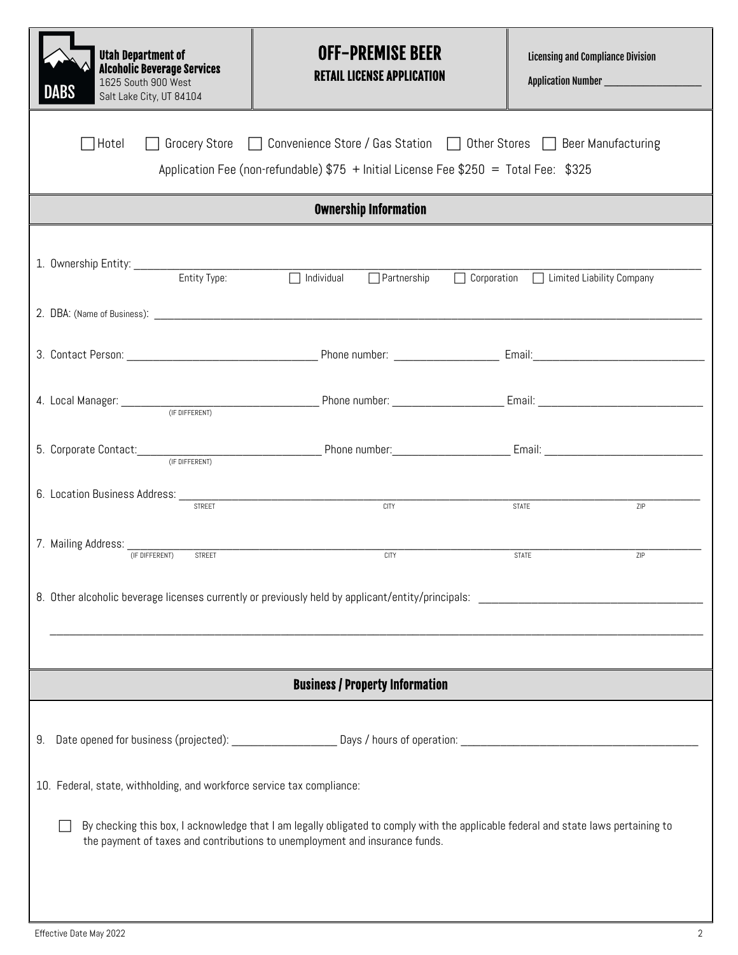| <b>Utah Department of</b><br><b>Alcoholic Beverage Services</b><br>1625 South 900 West<br>ABS<br>Salt Lake City, UT 84104                                                                                         | <b>OFF-PREMISE BEER</b><br><b>RETAIL LICENSE APPLICATION</b>                                                                                          | <b>Licensing and Compliance Division</b><br>Application Number ______________________ |  |  |  |  |  |  |
|-------------------------------------------------------------------------------------------------------------------------------------------------------------------------------------------------------------------|-------------------------------------------------------------------------------------------------------------------------------------------------------|---------------------------------------------------------------------------------------|--|--|--|--|--|--|
| □ Grocery Store □ Convenience Store / Gas Station □ Other Stores □ Beer Manufacturing<br>Hotel<br>Application Fee (non-refundable) $$75 +$ Initial License Fee $$250 =$ Total Fee: $$325$                         |                                                                                                                                                       |                                                                                       |  |  |  |  |  |  |
|                                                                                                                                                                                                                   | <b>Ownership Information</b>                                                                                                                          |                                                                                       |  |  |  |  |  |  |
| Entity Type:                                                                                                                                                                                                      | $\sqrt{ }$ Individual<br>$\Box$ Partnership                                                                                                           | □ Corporation □ Limited Liability Company                                             |  |  |  |  |  |  |
|                                                                                                                                                                                                                   |                                                                                                                                                       |                                                                                       |  |  |  |  |  |  |
|                                                                                                                                                                                                                   |                                                                                                                                                       |                                                                                       |  |  |  |  |  |  |
|                                                                                                                                                                                                                   |                                                                                                                                                       |                                                                                       |  |  |  |  |  |  |
|                                                                                                                                                                                                                   | 5. Corporate Contact: <i>(FDIFFERENT)</i> Phone number: <u>Contact: Email: Contact: Contact:</u> Contact: Contact: Contact: Content of the Different) |                                                                                       |  |  |  |  |  |  |
| 6. Location Business Address: STREET                                                                                                                                                                              | $rac{1}{C}$                                                                                                                                           | STATE<br>ZIP                                                                          |  |  |  |  |  |  |
| 7. Mailing Address: <sub>(F DIFFERENT)</sub><br>STREET                                                                                                                                                            | <b>CITY</b>                                                                                                                                           | <b>STATE</b><br>ZIP                                                                   |  |  |  |  |  |  |
|                                                                                                                                                                                                                   |                                                                                                                                                       |                                                                                       |  |  |  |  |  |  |
|                                                                                                                                                                                                                   |                                                                                                                                                       |                                                                                       |  |  |  |  |  |  |
| <b>Business / Property Information</b>                                                                                                                                                                            |                                                                                                                                                       |                                                                                       |  |  |  |  |  |  |
|                                                                                                                                                                                                                   |                                                                                                                                                       |                                                                                       |  |  |  |  |  |  |
| 10. Federal, state, withholding, and workforce service tax compliance:                                                                                                                                            |                                                                                                                                                       |                                                                                       |  |  |  |  |  |  |
| By checking this box, I acknowledge that I am legally obligated to comply with the applicable federal and state laws pertaining to<br>the payment of taxes and contributions to unemployment and insurance funds. |                                                                                                                                                       |                                                                                       |  |  |  |  |  |  |
|                                                                                                                                                                                                                   |                                                                                                                                                       |                                                                                       |  |  |  |  |  |  |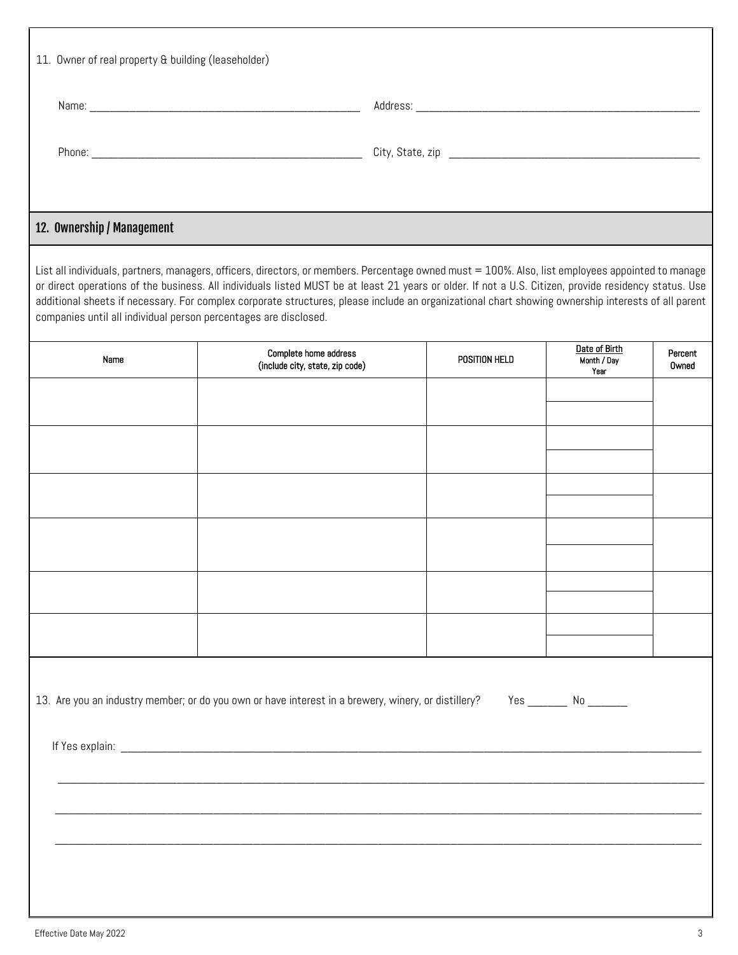| 11. Owner of real property & building (leaseholder)              |                                                                                                                                                                                                                                                                                                                                                                                                                                                                  |               |                                      |                  |  |  |
|------------------------------------------------------------------|------------------------------------------------------------------------------------------------------------------------------------------------------------------------------------------------------------------------------------------------------------------------------------------------------------------------------------------------------------------------------------------------------------------------------------------------------------------|---------------|--------------------------------------|------------------|--|--|
|                                                                  |                                                                                                                                                                                                                                                                                                                                                                                                                                                                  |               |                                      |                  |  |  |
|                                                                  |                                                                                                                                                                                                                                                                                                                                                                                                                                                                  |               |                                      |                  |  |  |
| 12. Ownership / Management                                       |                                                                                                                                                                                                                                                                                                                                                                                                                                                                  |               |                                      |                  |  |  |
| companies until all individual person percentages are disclosed. | List all individuals, partners, managers, officers, directors, or members. Percentage owned must = 100%. Also, list employees appointed to manage<br>or direct operations of the business. All individuals listed MUST be at least 21 years or older. If not a U.S. Citizen, provide residency status. Use<br>additional sheets if necessary. For complex corporate structures, please include an organizational chart showing ownership interests of all parent |               |                                      |                  |  |  |
| Name                                                             | <b>Complete home address</b><br>(include city, state, zip code)                                                                                                                                                                                                                                                                                                                                                                                                  | POSITION HELD | Date of Birth<br>Month / Day<br>Year | Percent<br>Owned |  |  |
|                                                                  |                                                                                                                                                                                                                                                                                                                                                                                                                                                                  |               |                                      |                  |  |  |
|                                                                  |                                                                                                                                                                                                                                                                                                                                                                                                                                                                  |               |                                      |                  |  |  |
|                                                                  |                                                                                                                                                                                                                                                                                                                                                                                                                                                                  |               |                                      |                  |  |  |
|                                                                  |                                                                                                                                                                                                                                                                                                                                                                                                                                                                  |               |                                      |                  |  |  |
|                                                                  |                                                                                                                                                                                                                                                                                                                                                                                                                                                                  |               |                                      |                  |  |  |
|                                                                  |                                                                                                                                                                                                                                                                                                                                                                                                                                                                  |               |                                      |                  |  |  |
|                                                                  | 13. Are you an industry member; or do you own or have interest in a brewery, winery, or distillery?                                                                                                                                                                                                                                                                                                                                                              |               | Yes ________ No _______              |                  |  |  |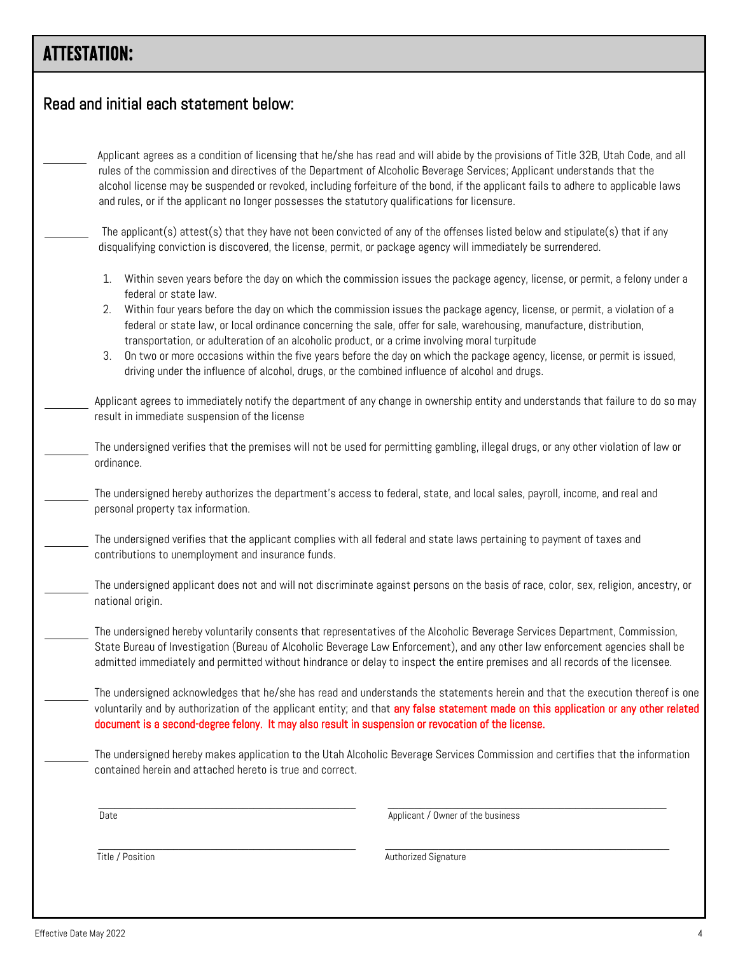## ATTESTATION:

| Read and initial each statement below:                                                               |                                                                                                                                                                                                                                                                                                                                                                                                      |
|------------------------------------------------------------------------------------------------------|------------------------------------------------------------------------------------------------------------------------------------------------------------------------------------------------------------------------------------------------------------------------------------------------------------------------------------------------------------------------------------------------------|
| and rules, or if the applicant no longer possesses the statutory qualifications for licensure.       | Applicant agrees as a condition of licensing that he/she has read and will abide by the provisions of Title 32B, Utah Code, and all<br>rules of the commission and directives of the Department of Alcoholic Beverage Services; Applicant understands that the<br>alcohol license may be suspended or revoked, including forfeiture of the bond, if the applicant fails to adhere to applicable laws |
|                                                                                                      | The applicant(s) attest(s) that they have not been convicted of any of the offenses listed below and stipulate(s) that if any<br>disqualifying conviction is discovered, the license, permit, or package agency will immediately be surrendered.                                                                                                                                                     |
| 1.<br>federal or state law.                                                                          | Within seven years before the day on which the commission issues the package agency, license, or permit, a felony under a                                                                                                                                                                                                                                                                            |
| 2.<br>transportation, or adulteration of an alcoholic product, or a crime involving moral turpitude  | Within four years before the day on which the commission issues the package agency, license, or permit, a violation of a<br>federal or state law, or local ordinance concerning the sale, offer for sale, warehousing, manufacture, distribution,                                                                                                                                                    |
| 3.<br>driving under the influence of alcohol, drugs, or the combined influence of alcohol and drugs. | On two or more occasions within the five years before the day on which the package agency, license, or permit is issued,                                                                                                                                                                                                                                                                             |
| result in immediate suspension of the license                                                        | Applicant agrees to immediately notify the department of any change in ownership entity and understands that failure to do so may                                                                                                                                                                                                                                                                    |
| ordinance.                                                                                           | The undersigned verifies that the premises will not be used for permitting gambling, illegal drugs, or any other violation of law or                                                                                                                                                                                                                                                                 |
| personal property tax information.                                                                   | The undersigned hereby authorizes the department's access to federal, state, and local sales, payroll, income, and real and                                                                                                                                                                                                                                                                          |
| contributions to unemployment and insurance funds.                                                   | The undersigned verifies that the applicant complies with all federal and state laws pertaining to payment of taxes and                                                                                                                                                                                                                                                                              |
| national origin.                                                                                     | The undersigned applicant does not and will not discriminate against persons on the basis of race, color, sex, religion, ancestry, or                                                                                                                                                                                                                                                                |
|                                                                                                      | The undersigned hereby voluntarily consents that representatives of the Alcoholic Beverage Services Department, Commission,<br>State Bureau of Investigation (Bureau of Alcoholic Beverage Law Enforcement), and any other law enforcement agencies shall be<br>admitted immediately and permitted without hindrance or delay to inspect the entire premises and all records of the licensee.        |
| document is a second-degree felony. It may also result in suspension or revocation of the license.   | The undersigned acknowledges that he/she has read and understands the statements herein and that the execution thereof is one<br>voluntarily and by authorization of the applicant entity; and that any false statement made on this application or any other related                                                                                                                                |
| contained herein and attached hereto is true and correct.                                            | The undersigned hereby makes application to the Utah Alcoholic Beverage Services Commission and certifies that the information                                                                                                                                                                                                                                                                       |
| Date                                                                                                 | Applicant / Owner of the business                                                                                                                                                                                                                                                                                                                                                                    |
| Title / Position                                                                                     | Authorized Signature                                                                                                                                                                                                                                                                                                                                                                                 |